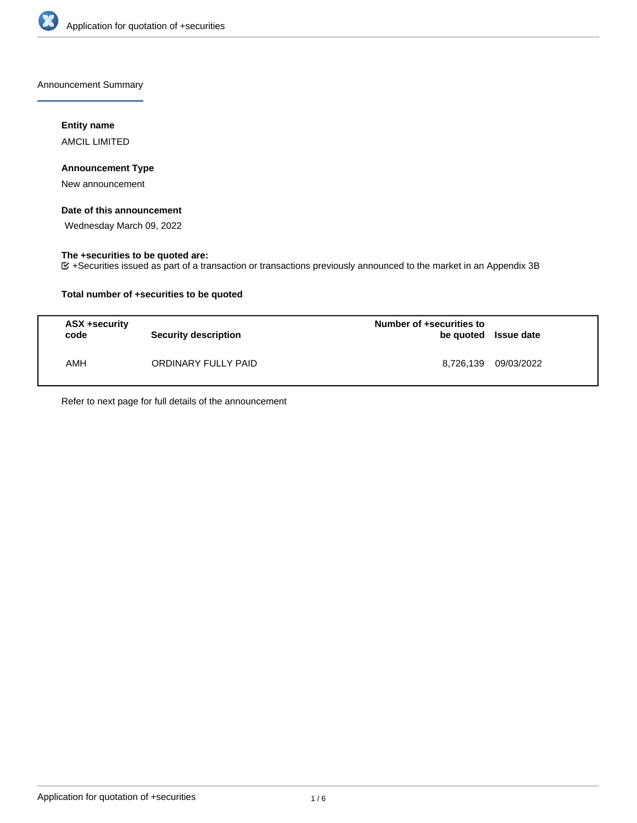

Announcement Summary

## **Entity name**

AMCIL LIMITED

## **Announcement Type**

New announcement

## **Date of this announcement**

Wednesday March 09, 2022

### **The +securities to be quoted are:**

+Securities issued as part of a transaction or transactions previously announced to the market in an Appendix 3B

## **Total number of +securities to be quoted**

| ASX +security<br>code | <b>Security description</b> | Number of +securities to<br>be quoted Issue date |            |
|-----------------------|-----------------------------|--------------------------------------------------|------------|
| AMH                   | ORDINARY FULLY PAID         | 8,726,139                                        | 09/03/2022 |

Refer to next page for full details of the announcement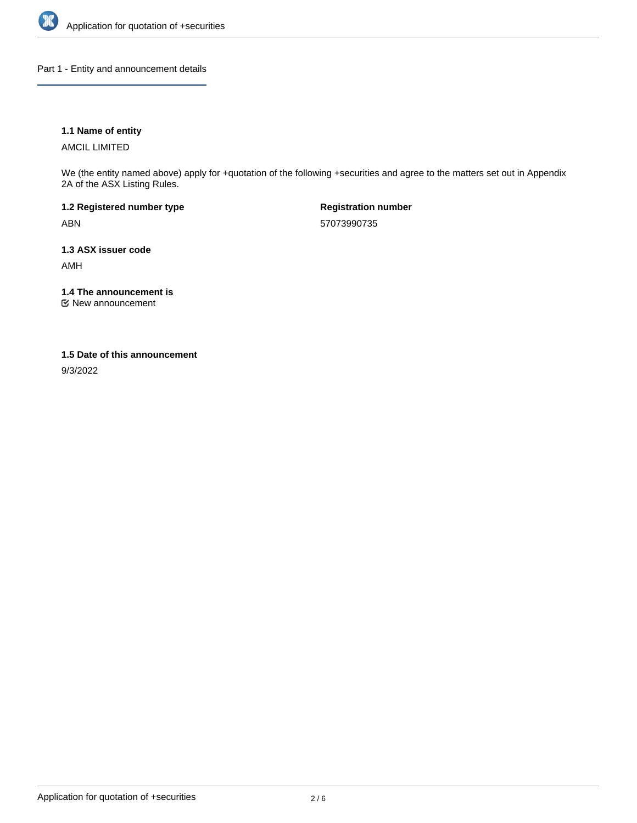

Part 1 - Entity and announcement details

## **1.1 Name of entity**

AMCIL LIMITED

We (the entity named above) apply for +quotation of the following +securities and agree to the matters set out in Appendix 2A of the ASX Listing Rules.

**1.2 Registered number type** ABN

**Registration number** 57073990735

**1.3 ASX issuer code**

AMH

**1.4 The announcement is**

New announcement

### **1.5 Date of this announcement**

9/3/2022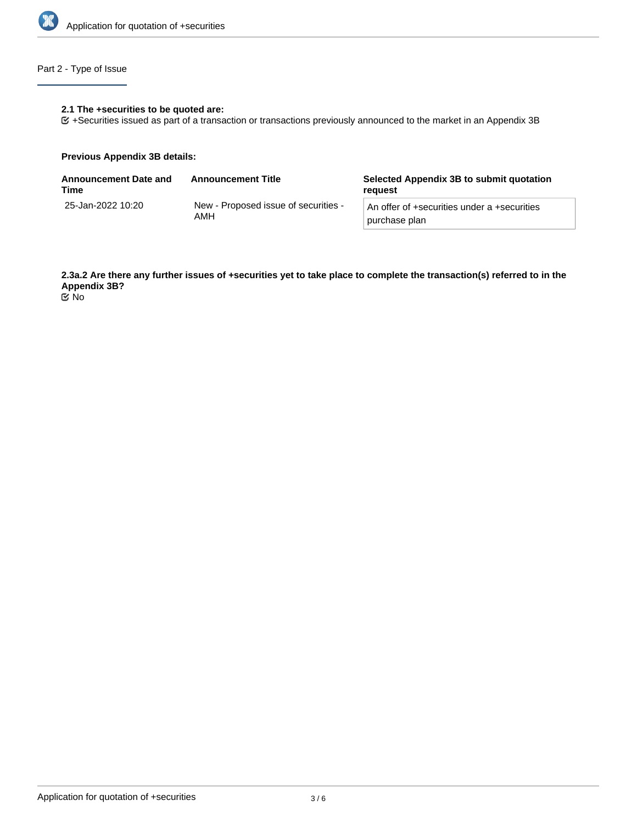

## Part 2 - Type of Issue

#### **2.1 The +securities to be quoted are:**

+Securities issued as part of a transaction or transactions previously announced to the market in an Appendix 3B

### **Previous Appendix 3B details:**

| Announcement Date and<br>Time | <b>Announcement Title</b>                   | Selected Appendix 3B to submit quotation<br>reguest          |
|-------------------------------|---------------------------------------------|--------------------------------------------------------------|
| 25-Jan-2022 10:20             | New - Proposed issue of securities -<br>AMH | An offer of +securities under a +securities<br>purchase plan |

**2.3a.2 Are there any further issues of +securities yet to take place to complete the transaction(s) referred to in the Appendix 3B?**

No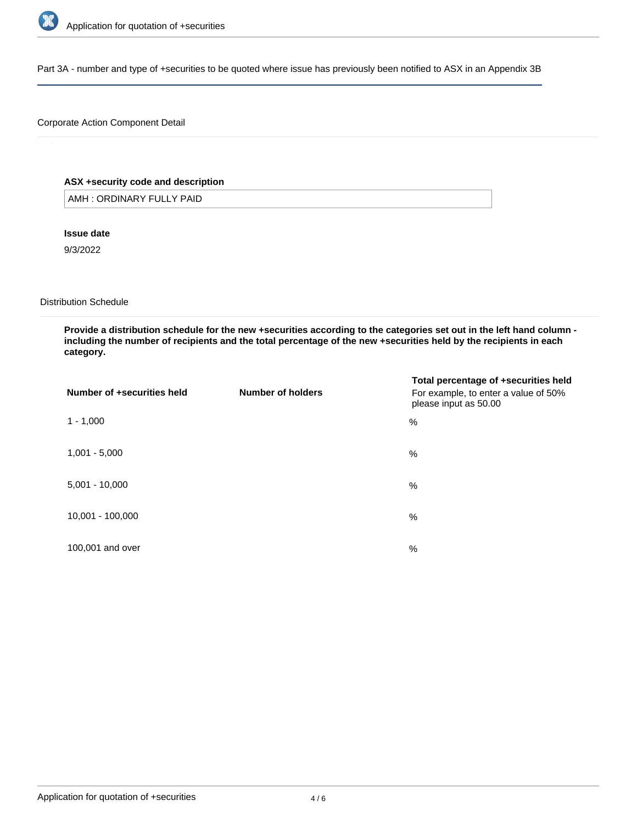

Part 3A - number and type of +securities to be quoted where issue has previously been notified to ASX in an Appendix 3B

## Corporate Action Component Detail

## **ASX +security code and description**

AMH : ORDINARY FULLY PAID

**Issue date**

9/3/2022

Distribution Schedule

**Provide a distribution schedule for the new +securities according to the categories set out in the left hand column including the number of recipients and the total percentage of the new +securities held by the recipients in each category.**

| Number of +securities held | Number of holders | Total percentage of +securities held<br>For example, to enter a value of 50%<br>please input as 50.00 |
|----------------------------|-------------------|-------------------------------------------------------------------------------------------------------|
| $1 - 1,000$                |                   | %                                                                                                     |
| $1,001 - 5,000$            |                   | %                                                                                                     |
| $5,001 - 10,000$           |                   | %                                                                                                     |
| 10,001 - 100,000           |                   | %                                                                                                     |
| 100,001 and over           |                   | $\%$                                                                                                  |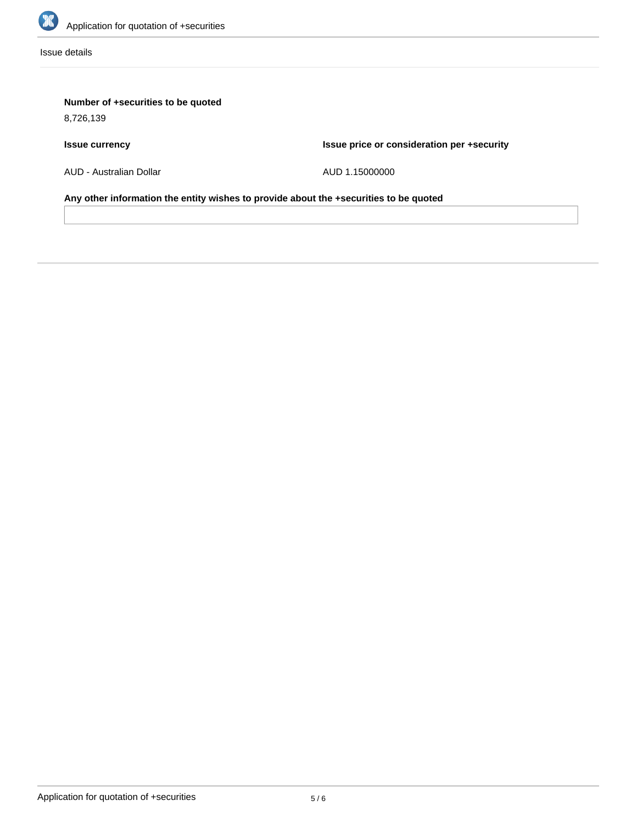

Issue details

# **Number of +securities to be quoted**

8,726,139

# **Issue currency**

**Issue price or consideration per +security**

AUD - Australian Dollar

AUD 1.15000000

**Any other information the entity wishes to provide about the +securities to be quoted**